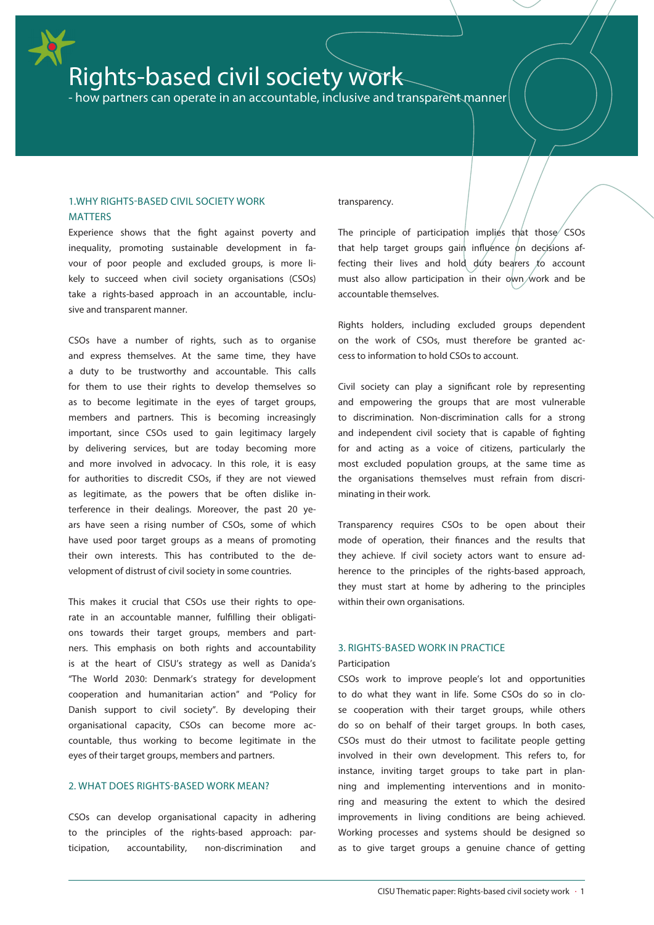# Rights-based civil society work

- how partners can operate in an accountable, inclusive and transparent manner

# 1.WHY RIGHTS-BASED CIVIL SOCIETY WORK **MATTERS**

Experience shows that the fight against poverty and inequality, promoting sustainable development in favour of poor people and excluded groups, is more likely to succeed when civil society organisations (CSOs) take a rights-based approach in an accountable, inclusive and transparent manner.

CSOs have a number of rights, such as to organise and express themselves. At the same time, they have a duty to be trustworthy and accountable. This calls for them to use their rights to develop themselves so as to become legitimate in the eyes of target groups, members and partners. This is becoming increasingly important, since CSOs used to gain legitimacy largely by delivering services, but are today becoming more and more involved in advocacy. In this role, it is easy for authorities to discredit CSOs, if they are not viewed as legitimate, as the powers that be often dislike interference in their dealings. Moreover, the past 20 years have seen a rising number of CSOs, some of which have used poor target groups as a means of promoting their own interests. This has contributed to the development of distrust of civil society in some countries.

This makes it crucial that CSOs use their rights to operate in an accountable manner, fulfilling their obligations towards their target groups, members and partners. This emphasis on both rights and accountability is at the heart of CISU's strategy as well as Danida's "The World 2030: Denmark's strategy for development cooperation and humanitarian action" and "Policy for Danish support to civil society". By developing their organisational capacity, CSOs can become more accountable, thus working to become legitimate in the eyes of their target groups, members and partners.

# 2. WHAT DOES RIGHTS-BASED WORK MEAN?

CSOs can develop organisational capacity in adhering to the principles of the rights-based approach: participation, accountability, non-discrimination and

## transparency.

The principle of participation implies that those  $\sim$  CSOs that help target groups gain influence on decisions affecting their lives and hold duty bearers to account must also allow participation in their  $o$ wn work and be accountable themselves.

Rights holders, including excluded groups dependent on the work of CSOs, must therefore be granted access to information to hold CSOs to account.

Civil society can play a significant role by representing and empowering the groups that are most vulnerable to discrimination. Non-discrimination calls for a strong and independent civil society that is capable of fighting for and acting as a voice of citizens, particularly the most excluded population groups, at the same time as the organisations themselves must refrain from discriminating in their work.

Transparency requires CSOs to be open about their mode of operation, their finances and the results that they achieve. If civil society actors want to ensure adherence to the principles of the rights-based approach, they must start at home by adhering to the principles within their own organisations.

## 3. RIGHTS-BASED WORK IN PRACTICE

#### Participation

CSOs work to improve people's lot and opportunities to do what they want in life. Some CSOs do so in close cooperation with their target groups, while others do so on behalf of their target groups. In both cases, CSOs must do their utmost to facilitate people getting involved in their own development. This refers to, for instance, inviting target groups to take part in planning and implementing interventions and in monitoring and measuring the extent to which the desired improvements in living conditions are being achieved. Working processes and systems should be designed so as to give target groups a genuine chance of getting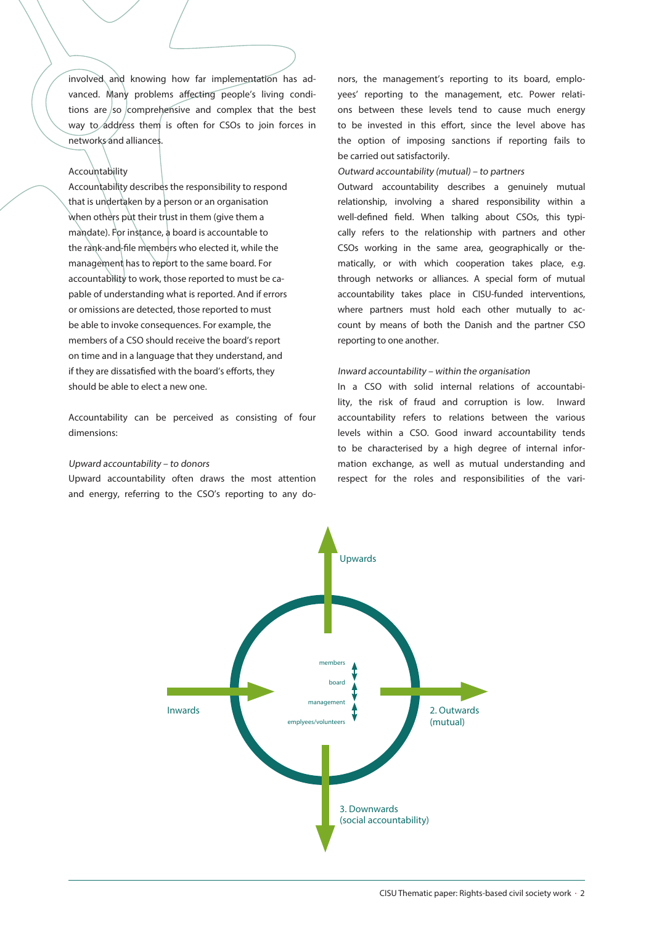involved and knowing how far implementation has advanced. Many problems affecting people's living conditions are so comprehensive and complex that the best way to address them is often for CSOs to join forces in networks and alliances.

# Accountability

Accountability describes the responsibility to respond that is undertaken by a person or an organisation when others put their trust in them (give them a mandate). For instance, a board is accountable to the rank-and-file members who elected it, while the management has to report to the same board. For accountability to work, those reported to must be capable of understanding what is reported. And if errors or omissions are detected, those reported to must be able to invoke consequences. For example, the members of a CSO should receive the board's report on time and in a language that they understand, and if they are dissatisfied with the board's efforts, they should be able to elect a new one.

Accountability can be perceived as consisting of four dimensions:

# Upward accountability – to donors

Upward accountability often draws the most attention and energy, referring to the CSO's reporting to any do-

nors, the management's reporting to its board, employees' reporting to the management, etc. Power relations between these levels tend to cause much energy to be invested in this effort, since the level above has the option of imposing sanctions if reporting fails to be carried out satisfactorily.

#### Outward accountability (mutual) – to partners

Outward accountability describes a genuinely mutual relationship, involving a shared responsibility within a well-defined field. When talking about CSOs, this typically refers to the relationship with partners and other CSOs working in the same area, geographically or thematically, or with which cooperation takes place, e.g. through networks or alliances. A special form of mutual accountability takes place in CISU-funded interventions, where partners must hold each other mutually to account by means of both the Danish and the partner CSO reporting to one another.

#### Inward accountability – within the organisation

In a CSO with solid internal relations of accountability, the risk of fraud and corruption is low. Inward accountability refers to relations between the various levels within a CSO. Good inward accountability tends to be characterised by a high degree of internal information exchange, as well as mutual understanding and respect for the roles and responsibilities of the vari-

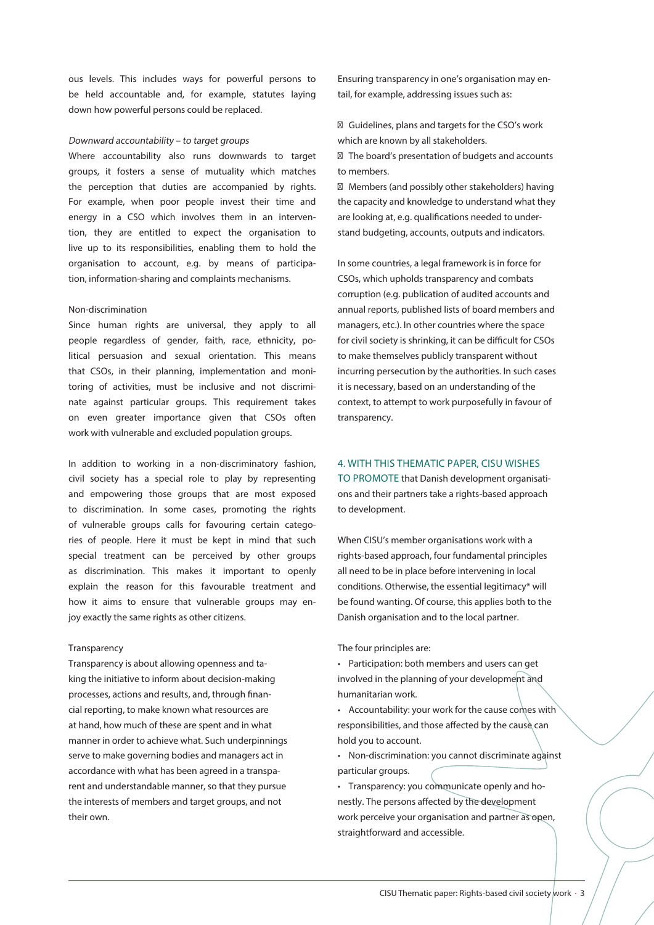ous levels. This includes ways for powerful persons to be held accountable and, for example, statutes laying down how powerful persons could be replaced.

#### Downward accountability – to target groups

Where accountability also runs downwards to target groups, it fosters a sense of mutuality which matches the perception that duties are accompanied by rights. For example, when poor people invest their time and energy in a CSO which involves them in an intervention, they are entitled to expect the organisation to live up to its responsibilities, enabling them to hold the organisation to account, e.g. by means of participation, information-sharing and complaints mechanisms.

#### Non-discrimination

Since human rights are universal, they apply to all people regardless of gender, faith, race, ethnicity, political persuasion and sexual orientation. This means that CSOs, in their planning, implementation and monitoring of activities, must be inclusive and not discriminate against particular groups. This requirement takes on even greater importance given that CSOs often work with vulnerable and excluded population groups.

In addition to working in a non-discriminatory fashion, civil society has a special role to play by representing and empowering those groups that are most exposed to discrimination. In some cases, promoting the rights of vulnerable groups calls for favouring certain categories of people. Here it must be kept in mind that such special treatment can be perceived by other groups as discrimination. This makes it important to openly explain the reason for this favourable treatment and how it aims to ensure that vulnerable groups may enjoy exactly the same rights as other citizens.

#### Transparency

Transparency is about allowing openness and taking the initiative to inform about decision-making processes, actions and results, and, through financial reporting, to make known what resources are at hand, how much of these are spent and in what manner in order to achieve what. Such underpinnings serve to make governing bodies and managers act in accordance with what has been agreed in a transparent and understandable manner, so that they pursue the interests of members and target groups, and not their own.

Ensuring transparency in one's organisation may entail, for example, addressing issues such as:

Guidelines, plans and targets for the CSO's work which are known by all stakeholders.

The board's presentation of budgets and accounts to members.

Members (and possibly other stakeholders) having the capacity and knowledge to understand what they are looking at, e.g. qualifications needed to understand budgeting, accounts, outputs and indicators.

In some countries, a legal framework is in force for CSOs, which upholds transparency and combats corruption (e.g. publication of audited accounts and annual reports, published lists of board members and managers, etc.). In other countries where the space for civil society is shrinking, it can be difficult for CSOs to make themselves publicly transparent without incurring persecution by the authorities. In such cases it is necessary, based on an understanding of the context, to attempt to work purposefully in favour of transparency.

#### 4. WITH THIS THEMATIC PAPER, CISU WISHES

TO PROMOTE that Danish development organisations and their partners take a rights-based approach to development.

When CISU's member organisations work with a rights-based approach, four fundamental principles all need to be in place before intervening in local conditions. Otherwise, the essential legitimacy\* will be found wanting. Of course, this applies both to the Danish organisation and to the local partner.

The four principles are:

• Participation: both members and users can get involved in the planning of your development and humanitarian work.

• Accountability: your work for the cause comes with responsibilities, and those affected by the cause can hold you to account.

• Non-discrimination: you cannot discriminate against particular groups.

• Transparency: you communicate openly and honestly. The persons affected by the development work perceive your organisation and partner as open, straightforward and accessible.